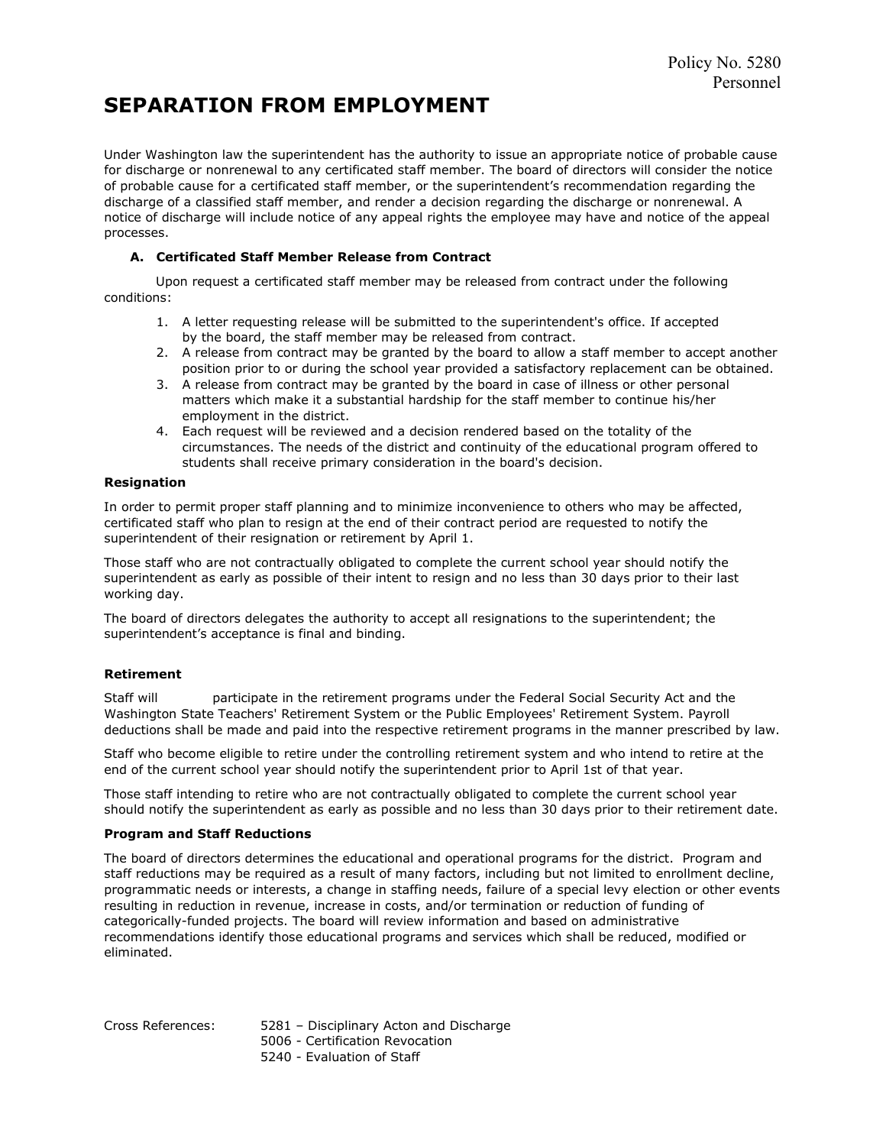# SEPARATION FROM EMPLOYMENT

Under Washington law the superintendent has the authority to issue an appropriate notice of probable cause for discharge or nonrenewal to any certificated staff member. The board of directors will consider the notice of probable cause for a certificated staff member, or the superintendent's recommendation regarding the discharge of a classified staff member, and render a decision regarding the discharge or nonrenewal. A notice of discharge will include notice of any appeal rights the employee may have and notice of the appeal processes.

### A. Certificated Staff Member Release from Contract

 Upon request a certificated staff member may be released from contract under the following conditions:

- 1. A letter requesting release will be submitted to the superintendent's office. If accepted by the board, the staff member may be released from contract.
- 2. A release from contract may be granted by the board to allow a staff member to accept another position prior to or during the school year provided a satisfactory replacement can be obtained.
- 3. A release from contract may be granted by the board in case of illness or other personal matters which make it a substantial hardship for the staff member to continue his/her employment in the district.
- 4. Each request will be reviewed and a decision rendered based on the totality of the circumstances. The needs of the district and continuity of the educational program offered to students shall receive primary consideration in the board's decision.

#### Resignation

In order to permit proper staff planning and to minimize inconvenience to others who may be affected, certificated staff who plan to resign at the end of their contract period are requested to notify the superintendent of their resignation or retirement by April 1.

Those staff who are not contractually obligated to complete the current school year should notify the superintendent as early as possible of their intent to resign and no less than 30 days prior to their last working day.

The board of directors delegates the authority to accept all resignations to the superintendent; the superintendent's acceptance is final and binding.

#### Retirement

Staff will participate in the retirement programs under the Federal Social Security Act and the Washington State Teachers' Retirement System or the Public Employees' Retirement System. Payroll deductions shall be made and paid into the respective retirement programs in the manner prescribed by law.

Staff who become eligible to retire under the controlling retirement system and who intend to retire at the end of the current school year should notify the superintendent prior to April 1st of that year.

Those staff intending to retire who are not contractually obligated to complete the current school year should notify the superintendent as early as possible and no less than 30 days prior to their retirement date.

#### Program and Staff Reductions

The board of directors determines the educational and operational programs for the district. Program and staff reductions may be required as a result of many factors, including but not limited to enrollment decline, programmatic needs or interests, a change in staffing needs, failure of a special levy election or other events resulting in reduction in revenue, increase in costs, and/or termination or reduction of funding of categorically-funded projects. The board will review information and based on administrative recommendations identify those educational programs and services which shall be reduced, modified or eliminated.

Cross References: 5281 – Disciplinary Acton and Discharge 5006 - Certification Revocation

5240 - Evaluation of Staff